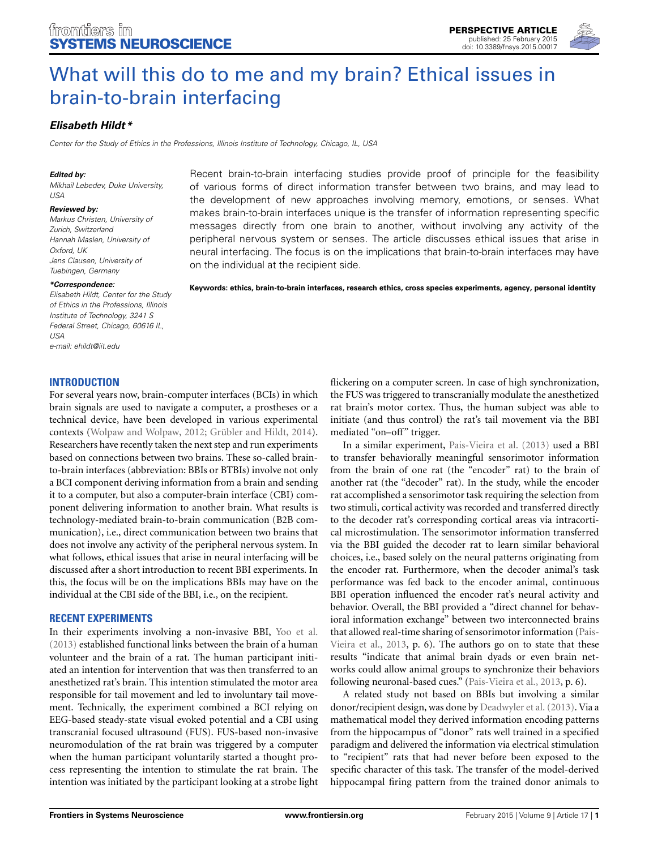

# [What will this do to me and my brain? Ethical issues in](http://www.frontiersin.org/journal/10.3389/fnsys.2015.00017/abstract) brain-to-brain interfacing

# *[Elisabeth Hildt\\*](http://community.frontiersin.org/people/u/22144)*

*Center for the Study of Ethics in the Professions, Illinois Institute of Technology, Chicago, IL, USA*

#### *Edited by:*

*Mikhail Lebedev, Duke University, USA*

#### *Reviewed by:*

*Markus Christen, University of Zurich, Switzerland Hannah Maslen, University of Oxford, UK Jens Clausen, University of Tuebingen, Germany*

#### *\*Correspondence:*

*Elisabeth Hildt, Center for the Study of Ethics in the Professions, Illinois Institute of Technology, 3241 S Federal Street, Chicago, 60616 IL, USA e-mail: [ehildt@iit.edu](mailto:ehildt@iit.edu)*

## **INTRODUCTION**

For several years now, brain-computer interfaces (BCIs) in which brain signals are used to navigate a computer, a prostheses or a technical device, have been developed in various experimental contexts [\(Wolpaw and Wolpaw](#page-3-0), [2012;](#page-3-0) [Grübler and Hildt, 2014](#page-3-1)). Researchers have recently taken the next step and run experiments based on connections between two brains. These so-called brainto-brain interfaces (abbreviation: BBIs or BTBIs) involve not only a BCI component deriving information from a brain and sending it to a computer, but also a computer-brain interface (CBI) component delivering information to another brain. What results is technology-mediated brain-to-brain communication (B2B communication), i.e., direct communication between two brains that does not involve any activity of the peripheral nervous system. In what follows, ethical issues that arise in neural interfacing will be discussed after a short introduction to recent BBI experiments. In this, the focus will be on the implications BBIs may have on the individual at the CBI side of the BBI, i.e., on the recipient.

## **RECENT EXPERIMENTS**

In their experiments involving a non-invasive BBI, [Yoo et al.](#page-3-2) [\(2013\)](#page-3-2) established functional links between the brain of a human volunteer and the brain of a rat. The human participant initiated an intention for intervention that was then transferred to an anesthetized rat's brain. This intention stimulated the motor area responsible for tail movement and led to involuntary tail movement. Technically, the experiment combined a BCI relying on EEG-based steady-state visual evoked potential and a CBI using transcranial focused ultrasound (FUS). FUS-based non-invasive neuromodulation of the rat brain was triggered by a computer when the human participant voluntarily started a thought process representing the intention to stimulate the rat brain. The intention was initiated by the participant looking at a strobe light

Recent brain-to-brain interfacing studies provide proof of principle for the feasibility of various forms of direct information transfer between two brains, and may lead to the development of new approaches involving memory, emotions, or senses. What makes brain-to-brain interfaces unique is the transfer of information representing specific messages directly from one brain to another, without involving any activity of the peripheral nervous system or senses. The article discusses ethical issues that arise in neural interfacing. The focus is on the implications that brain-to-brain interfaces may have on the individual at the recipient side.

**Keywords: ethics, brain-to-brain interfaces, research ethics, cross species experiments, agency, personal identity**

flickering on a computer screen. In case of high synchronization, the FUS was triggered to transcranially modulate the anesthetized rat brain's motor cortex. Thus, the human subject was able to initiate (and thus control) the rat's tail movement via the BBI mediated "on–off" trigger.

In a similar experiment, [Pais-Vieira et al.](#page-3-3) [\(2013\)](#page-3-3) used a BBI to transfer behaviorally meaningful sensorimotor information from the brain of one rat (the "encoder" rat) to the brain of another rat (the "decoder" rat). In the study, while the encoder rat accomplished a sensorimotor task requiring the selection from two stimuli, cortical activity was recorded and transferred directly to the decoder rat's corresponding cortical areas via intracortical microstimulation. The sensorimotor information transferred via the BBI guided the decoder rat to learn similar behavioral choices, i.e., based solely on the neural patterns originating from the encoder rat. Furthermore, when the decoder animal's task performance was fed back to the encoder animal, continuous BBI operation influenced the encoder rat's neural activity and behavior. Overall, the BBI provided a "direct channel for behavioral information exchange" between two interconnected brains that allowe[d real-time sharing of sensorimotor information \(](#page-3-3)Pais-Vieira et al., [2013,](#page-3-3) p. 6). The authors go on to state that these results "indicate that animal brain dyads or even brain networks could allow animal groups to synchronize their behaviors following neuronal-based cues." [\(Pais-Vieira et al., 2013](#page-3-3), p. 6).

A related study not based on BBIs but involving a similar donor/recipient design, was done by [Deadwyler et al.](#page-3-4) [\(2013\)](#page-3-4). Via a mathematical model they derived information encoding patterns from the hippocampus of "donor" rats well trained in a specified paradigm and delivered the information via electrical stimulation to "recipient" rats that had never before been exposed to the specific character of this task. The transfer of the model-derived hippocampal firing pattern from the trained donor animals to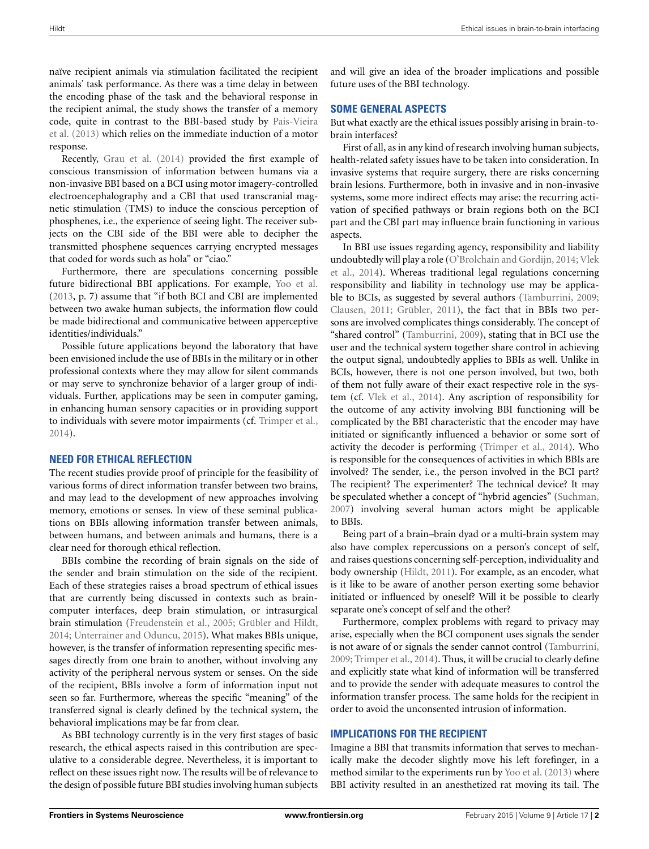naïve recipient animals via stimulation facilitated the recipient animals' task performance. As there was a time delay in between the encoding phase of the task and the behavioral response in the recipient animal, the study shows the transfer of a memory code[, quite in contrast to the BBI-based study by](#page-3-3) Pais-Vieira et al. [\(2013\)](#page-3-3) which relies on the immediate induction of a motor response.

Recently, [Grau et al.](#page-3-5) [\(2014](#page-3-5)) provided the first example of conscious transmission of information between humans via a non-invasive BBI based on a BCI using motor imagery-controlled electroencephalography and a CBI that used transcranial magnetic stimulation (TMS) to induce the conscious perception of phosphenes, i.e., the experience of seeing light. The receiver subjects on the CBI side of the BBI were able to decipher the transmitted phosphene sequences carrying encrypted messages that coded for words such as hola" or "ciao."

Furthermore, there are speculations concerning possible future bidirectional BBI applications. For example, [Yoo et al.](#page-3-2) [\(2013,](#page-3-2) p. 7) assume that "if both BCI and CBI are implemented between two awake human subjects, the information flow could be made bidirectional and communicative between apperceptive identities/individuals."

Possible future applications beyond the laboratory that have been envisioned include the use of BBIs in the military or in other professional contexts where they may allow for silent commands or may serve to synchronize behavior of a larger group of individuals. Further, applications may be seen in computer gaming, in enhancing human sensory capacities or in providing support to individuals with severe motor impairments (cf. [Trimper et al.](#page-3-6), [2014](#page-3-6)).

## **NEED FOR ETHICAL REFLECTION**

The recent studies provide proof of principle for the feasibility of various forms of direct information transfer between two brains, and may lead to the development of new approaches involving memory, emotions or senses. In view of these seminal publications on BBIs allowing information transfer between animals, between humans, and between animals and humans, there is a clear need for thorough ethical reflection.

BBIs combine the recording of brain signals on the side of the sender and brain stimulation on the side of the recipient. Each of these strategies raises a broad spectrum of ethical issues that are currently being discussed in contexts such as braincomputer interfaces, deep brain stimulation, or intrasurgical brain stimulation [\(Freudenstein et al.](#page-3-7), [2005;](#page-3-7) [Grübler and Hildt,](#page-3-1) [2014](#page-3-1); [Unterrainer and Oduncu](#page-3-8), [2015\)](#page-3-8). What makes BBIs unique, however, is the transfer of information representing specific messages directly from one brain to another, without involving any activity of the peripheral nervous system or senses. On the side of the recipient, BBIs involve a form of information input not seen so far. Furthermore, whereas the specific "meaning" of the transferred signal is clearly defined by the technical system, the behavioral implications may be far from clear.

As BBI technology currently is in the very first stages of basic research, the ethical aspects raised in this contribution are speculative to a considerable degree. Nevertheless, it is important to reflect on these issues right now. The results will be of relevance to the design of possible future BBI studies involving human subjects and will give an idea of the broader implications and possible future uses of the BBI technology.

## **SOME GENERAL ASPECTS**

But what exactly are the ethical issues possibly arising in brain-tobrain interfaces?

First of all, as in any kind of research involving human subjects, health-related safety issues have to be taken into consideration. In invasive systems that require surgery, there are risks concerning brain lesions. Furthermore, both in invasive and in non-invasive systems, some more indirect effects may arise: the recurring activation of specified pathways or brain regions both on the BCI part and the CBI part may influence brain functioning in various aspects.

In BBI use issues regarding agency, responsibility and liability und[oubtedly will play a role](#page-3-10) [\(O'Brolchain and Gordijn](#page-3-9)[,](#page-3-10) [2014](#page-3-9)[;](#page-3-10) Vlek et al., [2014\)](#page-3-10). Whereas traditional legal regulations concerning responsibility and liability in technology use may be applicable to BCIs, as suggested by several authors [\(Tamburrini, 2009](#page-3-11); [Clausen, 2011](#page-3-12); [Grübler, 2011](#page-3-13)), the fact that in BBIs two persons are involved complicates things considerably. The concept of "shared control" [\(Tamburrini, 2009](#page-3-11)), stating that in BCI use the user and the technical system together share control in achieving the output signal, undoubtedly applies to BBIs as well. Unlike in BCIs, however, there is not one person involved, but two, both of them not fully aware of their exact respective role in the system (cf. [Vlek et al., 2014](#page-3-10)). Any ascription of responsibility for the outcome of any activity involving BBI functioning will be complicated by the BBI characteristic that the encoder may have initiated or significantly influenced a behavior or some sort of activity the decoder is performing [\(Trimper et al., 2014\)](#page-3-6). Who is responsible for the consequences of activities in which BBIs are involved? The sender, i.e., the person involved in the BCI part? The recipient? The experimenter? The technical device? It may be speculated whether a concept of "hybrid agencies" [\(Suchman](#page-3-14), [2007](#page-3-14)) involving several human actors might be applicable to BBIs.

Being part of a brain–brain dyad or a multi-brain system may also have complex repercussions on a person's concept of self, and raises questions concerning self-perception, individuality and body ownership [\(Hildt, 2011\)](#page-3-15). For example, as an encoder, what is it like to be aware of another person exerting some behavior initiated or influenced by oneself? Will it be possible to clearly separate one's concept of self and the other?

Furthermore, complex problems with regard to privacy may arise, especially when the BCI component uses signals the sender is not aware of or signals the sender cannot control [\(Tamburrini](#page-3-11), [2009](#page-3-11); [Trimper et al.](#page-3-6), [2014](#page-3-6)). Thus, it will be crucial to clearly define and explicitly state what kind of information will be transferred and to provide the sender with adequate measures to control the information transfer process. The same holds for the recipient in order to avoid the unconsented intrusion of information.

## **IMPLICATIONS FOR THE RECIPIENT**

Imagine a BBI that transmits information that serves to mechanically make the decoder slightly move his left forefinger, in a method similar to the experiments run by [Yoo et al.](#page-3-2) [\(2013](#page-3-2)) where BBI activity resulted in an anesthetized rat moving its tail. The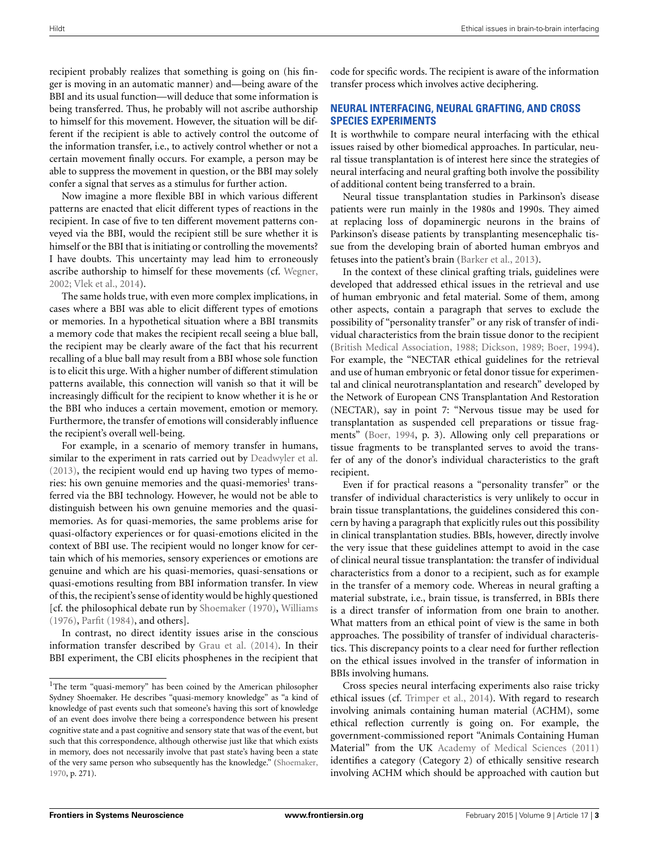recipient probably realizes that something is going on (his finger is moving in an automatic manner) and—being aware of the BBI and its usual function—will deduce that some information is being transferred. Thus, he probably will not ascribe authorship to himself for this movement. However, the situation will be different if the recipient is able to actively control the outcome of the information transfer, i.e., to actively control whether or not a certain movement finally occurs. For example, a person may be able to suppress the movement in question, or the BBI may solely confer a signal that serves as a stimulus for further action.

Now imagine a more flexible BBI in which various different patterns are enacted that elicit different types of reactions in the recipient. In case of five to ten different movement patterns conveyed via the BBI, would the recipient still be sure whether it is himself or the BBI that is initiating or controlling the movements? I have doubts. This uncertainty may lead him to erroneously ascribe authorship to himself for these movements (cf. [Wegner,](#page-3-16) [2002](#page-3-16); [Vlek et al.](#page-3-10), [2014](#page-3-10)).

The same holds true, with even more complex implications, in cases where a BBI was able to elicit different types of emotions or memories. In a hypothetical situation where a BBI transmits a memory code that makes the recipient recall seeing a blue ball, the recipient may be clearly aware of the fact that his recurrent recalling of a blue ball may result from a BBI whose sole function is to elicit this urge. With a higher number of different stimulation patterns available, this connection will vanish so that it will be increasingly difficult for the recipient to know whether it is he or the BBI who induces a certain movement, emotion or memory. Furthermore, the transfer of emotions will considerably influence the recipient's overall well-being.

For example, in a scenario of memory transfer in humans, similar to the experiment in rats carried out by [Deadwyler et al.](#page-3-4) [\(2013\)](#page-3-4), the recipient would end up having two types of memories: his own genuine memories and the quasi-memories<sup>1</sup> transferred via the BBI technology. However, he would not be able to distinguish between his own genuine memories and the quasimemories. As for quasi-memories, the same problems arise for quasi-olfactory experiences or for quasi-emotions elicited in the context of BBI use. The recipient would no longer know for certain which of his memories, sensory experiences or emotions are genuine and which are his quasi-memories, quasi-sensations or quasi-emotions resulting from BBI information transfer. In view of this, the recipient's sense of identity would be highly questioned [cf. the philosophical debate run by [Shoemaker](#page-3-17) [\(1970\)](#page-3-17), [Williams](#page-3-18) [\(1976\)](#page-3-18), [Parfit](#page-3-19) [\(1984\)](#page-3-19), and others].

In contrast, no direct identity issues arise in the conscious information transfer described by [Grau et al.](#page-3-5) [\(2014\)](#page-3-5). In their BBI experiment, the CBI elicits phosphenes in the recipient that

code for specific words. The recipient is aware of the information transfer process which involves active deciphering.

## **NEURAL INTERFACING, NEURAL GRAFTING, AND CROSS SPECIES EXPERIMENTS**

It is worthwhile to compare neural interfacing with the ethical issues raised by other biomedical approaches. In particular, neural tissue transplantation is of interest here since the strategies of neural interfacing and neural grafting both involve the possibility of additional content being transferred to a brain.

Neural tissue transplantation studies in Parkinson's disease patients were run mainly in the 1980s and 1990s. They aimed at replacing loss of dopaminergic neurons in the brains of Parkinson's disease patients by transplanting mesencephalic tissue from the developing brain of aborted human embryos and fetuses into the patient's brain [\(Barker et al.](#page-3-20), [2013\)](#page-3-20).

In the context of these clinical grafting trials, guidelines were developed that addressed ethical issues in the retrieval and use of human embryonic and fetal material. Some of them, among other aspects, contain a paragraph that serves to exclude the possibility of "personality transfer" or any risk of transfer of individual characteristics from the brain tissue donor to the recipient [\(British Medical Association, 1988](#page-3-21); [Dickson](#page-3-22), [1989;](#page-3-22) [Boer](#page-3-23), [1994](#page-3-23)). For example, the "NECTAR ethical guidelines for the retrieval and use of human embryonic or fetal donor tissue for experimental and clinical neurotransplantation and research" developed by the Network of European CNS Transplantation And Restoration (NECTAR), say in point 7: "Nervous tissue may be used for transplantation as suspended cell preparations or tissue fragments" [\(Boer](#page-3-23), [1994,](#page-3-23) p. 3). Allowing only cell preparations or tissue fragments to be transplanted serves to avoid the transfer of any of the donor's individual characteristics to the graft recipient.

<span id="page-2-0"></span>Even if for practical reasons a "personality transfer" or the transfer of individual characteristics is very unlikely to occur in brain tissue transplantations, the guidelines considered this concern by having a paragraph that explicitly rules out this possibility in clinical transplantation studies. BBIs, however, directly involve the very issue that these guidelines attempt to avoid in the case of clinical neural tissue transplantation: the transfer of individual characteristics from a donor to a recipient, such as for example in the transfer of a memory code. Whereas in neural grafting a material substrate, i.e., brain tissue, is transferred, in BBIs there is a direct transfer of information from one brain to another. What matters from an ethical point of view is the same in both approaches. The possibility of transfer of individual characteristics. This discrepancy points to a clear need for further reflection on the ethical issues involved in the transfer of information in BBIs involving humans.

Cross species neural interfacing experiments also raise tricky ethical issues (cf. [Trimper et al.](#page-3-6), [2014\)](#page-3-6). With regard to research involving animals containing human material (ACHM), some ethical reflection currently is going on. For example, the government-commissioned report "Animals Containing Human Material" from the UK [Academy of Medical Sciences](#page-3-24) [\(2011](#page-3-24)) identifies a category (Category 2) of ethically sensitive research involving ACHM which should be approached with caution but

<sup>&</sup>lt;sup>1</sup>The term "quasi-memory" has been coined by the American philosopher Sydney Shoemaker. He describes "quasi-memory knowledge" as "a kind of knowledge of past events such that someone's having this sort of knowledge of an event does involve there being a correspondence between his present cognitive state and a past cognitive and sensory state that was of the event, but such that this correspondence, although otherwise just like that which exists in memory, does not necessarily involve that past state's having been a state of the very same person who subsequently has the knowledge." [\(Shoemaker,](#page-3-17) [1970,](#page-3-17) p. 271).